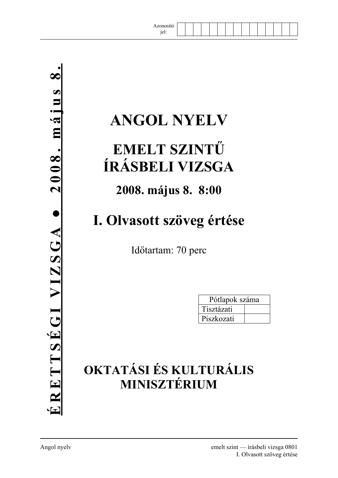| $\mathbf{r}$ . $\mathbf{r}$<br>$^{\circ}$ zonosító<br>AZOIIOSItO<br>٠<br>л. |  |  |  |  |  |  |  |  |  |  |  |  |  |  |  |
|-----------------------------------------------------------------------------|--|--|--|--|--|--|--|--|--|--|--|--|--|--|--|
|-----------------------------------------------------------------------------|--|--|--|--|--|--|--|--|--|--|--|--|--|--|--|

# **ANGOL NYELV**

# **EMELT SZINTŰ ÍRÁSBELI VIZSGA**

## **2008. május 8. 8:00**

# **I. Olvasott szöveg értése**

Időtartam: 70 perc

| Pótlapok száma |  |
|----------------|--|
| Tisztázati     |  |
| Piszkozati     |  |

## **OKTATÁSI ÉS KULTURÁLIS MINISZTÉRIUM**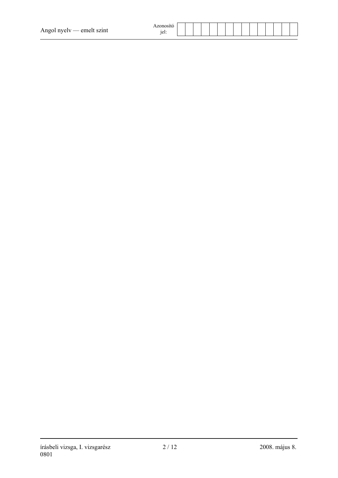|  | Angol nyelv — emelt szint | . .<br>zonosito<br>$1^{\circ}$<br>IVI. |  |  |  |  |  |  |  |  |  |  |  |  |  |  |  |  |
|--|---------------------------|----------------------------------------|--|--|--|--|--|--|--|--|--|--|--|--|--|--|--|--|
|--|---------------------------|----------------------------------------|--|--|--|--|--|--|--|--|--|--|--|--|--|--|--|--|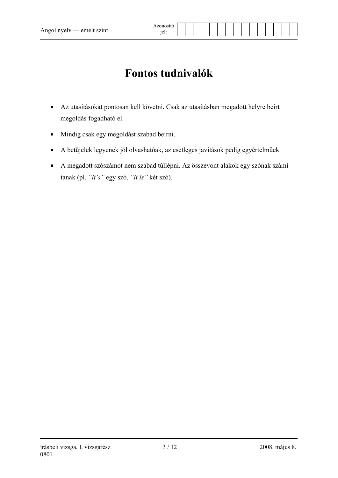## **Fontos tudnivalók**

- Az utasításokat pontosan kell követni. Csak az utasításban megadott helyre beírt megoldás fogadható el.
- Mindig csak egy megoldást szabad beírni.
- A betűjelek legyenek jól olvashatóak, az esetleges javítások pedig egyértelműek.
- A megadott szószámot nem szabad túllépni. Az összevont alakok egy szónak számítanak (pl. *"it's"* egy szó, *"it is"* két szó).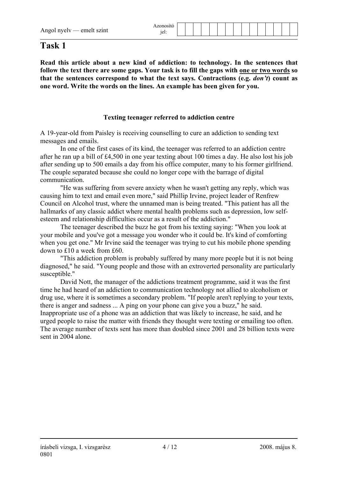| Azonosító            |  |  |  |  |  |  |  |  |
|----------------------|--|--|--|--|--|--|--|--|
|                      |  |  |  |  |  |  |  |  |
| ۰Δ<br>$\mathbf{u}$ . |  |  |  |  |  |  |  |  |
|                      |  |  |  |  |  |  |  |  |

**Read this article about a new kind of addiction: to technology. In the sentences that**  follow the text there are some gaps. Your task is to fill the gaps with <u>one or two words</u> so **that the sentences correspond to what the text says. Contractions (e.g.** *don't***) count as one word. Write the words on the lines. An example has been given for you.** 

#### **Texting teenager referred to addiction centre**

A 19-year-old from Paisley is receiving counselling to cure an addiction to sending text messages and emails.

In one of the first cases of its kind, the teenager was referred to an addiction centre after he ran up a bill of £4,500 in one year texting about 100 times a day. He also lost his job after sending up to 500 emails a day from his office computer, many to his former girlfriend. The couple separated because she could no longer cope with the barrage of digital communication.

"He was suffering from severe anxiety when he wasn't getting any reply, which was causing him to text and email even more," said Phillip Irvine, project leader of Renfrew Council on Alcohol trust, where the unnamed man is being treated. "This patient has all the hallmarks of any classic addict where mental health problems such as depression, low selfesteem and relationship difficulties occur as a result of the addiction."

The teenager described the buzz he got from his texting saying: "When you look at your mobile and you've got a message you wonder who it could be. It's kind of comforting when you get one." Mr Irvine said the teenager was trying to cut his mobile phone spending down to £10 a week from £60.

"This addiction problem is probably suffered by many more people but it is not being diagnosed," he said. "Young people and those with an extroverted personality are particularly susceptible."

David Nott, the manager of the addictions treatment programme, said it was the first time he had heard of an addiction to communication technology not allied to alcoholism or drug use, where it is sometimes a secondary problem. "If people aren't replying to your texts, there is anger and sadness ... A ping on your phone can give you a buzz," he said. Inappropriate use of a phone was an addiction that was likely to increase, he said, and he urged people to raise the matter with friends they thought were texting or emailing too often. The average number of texts sent has more than doubled since 2001 and 28 billion texts were sent in 2004 alone.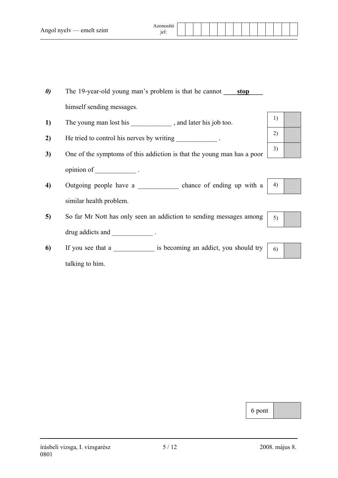| 6) | If you see that a | is becoming an addict, you should try |
|----|-------------------|---------------------------------------|
|    | talking to him.   |                                       |
|    |                   |                                       |
|    |                   |                                       |
|    |                   |                                       |

**5)** So far Mr Nott has only seen an addiction to sending messages among drug addicts and  $\qquad \qquad$ .

**4)** Outgoing people have a \_\_\_\_\_\_\_\_\_\_\_\_ chance of ending up with a

**3)** One of the symptoms of this addiction is that the young man has a poor opinion of \_\_\_\_\_\_\_\_\_\_\_\_ .

himself sending messages*.* 

*0*) The 19-year-old young man's problem is that he cannot **stop** 

- 
- 1) The young man lost his \_\_\_\_\_\_\_\_\_\_\_\_\_\_\_, and later his job too.
- 2) He tried to control his nerves by writing  $\blacksquare$

similar health problem.

Angol nyelv — emelt szint



|--|

|--|

6 pont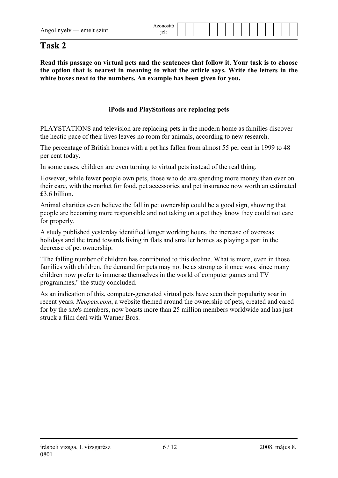| Azonosító                        |  |  |  |  |  |  |  |  |
|----------------------------------|--|--|--|--|--|--|--|--|
| ٠<br>$\mathsf{I} \, \rho$<br>vı. |  |  |  |  |  |  |  |  |

**Read this passage on virtual pets and the sentences that follow it. Your task is to choose the option that is nearest in meaning to what the article says. Write the letters in the white boxes next to the numbers. An example has been given for you.** 

#### **iPods and PlayStations are replacing pets**

PLAYSTATIONS and television are replacing pets in the modern home as families discover the hectic pace of their lives leaves no room for animals, according to new research.

The percentage of British homes with a pet has fallen from almost 55 per cent in 1999 to 48 per cent today.

In some cases, children are even turning to virtual pets instead of the real thing.

However, while fewer people own pets, those who do are spending more money than ever on their care, with the market for food, pet accessories and pet insurance now worth an estimated £3.6 billion.

Animal charities even believe the fall in pet ownership could be a good sign, showing that people are becoming more responsible and not taking on a pet they know they could not care for properly.

A study published yesterday identified longer working hours, the increase of overseas holidays and the trend towards living in flats and smaller homes as playing a part in the decrease of pet ownership.

"The falling number of children has contributed to this decline. What is more, even in those families with children, the demand for pets may not be as strong as it once was, since many children now prefer to immerse themselves in the world of computer games and TV programmes," the study concluded.

As an indication of this, computer-generated virtual pets have seen their popularity soar in recent years. *Neopets.com*, a website themed around the ownership of pets, created and cared for by the site's members, now boasts more than 25 million members worldwide and has just struck a film deal with Warner Bros.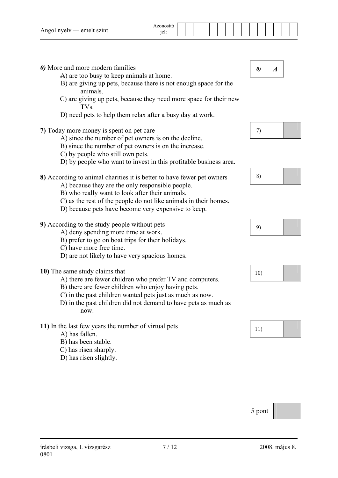### *0)* More and more modern families

- A) are too busy to keep animals at home.
- B) are giving up pets, because there is not enough space for the animals.

Azonosító

- C) are giving up pets, because they need more space for their new TVs.
- D) need pets to help them relax after a busy day at work.
- **7)** Today more money is spent on pet care
	- A) since the number of pet owners is on the decline.
	- B) since the number of pet owners is on the increase.
	- C) by people who still own pets.
	- D) by people who want to invest in this profitable business area.

#### **8)** According to animal charities it is better to have fewer pet owners A) because they are the only responsible people.

- B) who really want to look after their animals.
- C) as the rest of the people do not like animals in their homes.
- D) because pets have become very expensive to keep.

### **9)** According to the study people without pets

- A) deny spending more time at work.
- B) prefer to go on boat trips for their holidays.
- C) have more free time.
- D) are not likely to have very spacious homes.
- **10)** The same study claims that
	- A) there are fewer children who prefer TV and computers.
	- B) there are fewer children who enjoy having pets.
	- C) in the past children wanted pets just as much as now.
	- D) in the past children did not demand to have pets as much as now.
- **11)** In the last few years the number of virtual pets
	- A) has fallen.
	- B) has been stable.
	- C) has risen sharply.
	- D) has risen slightly.



 $\theta$  |  $A$ 

|--|--|--|



|--|





5 pont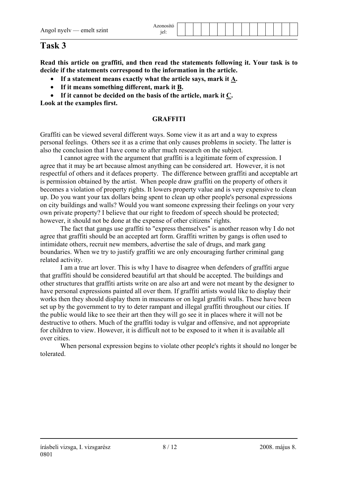| $470000^{41}$<br>AZUIJUSILU<br>٠ |  |  |  |  |  |  |  |  |
|----------------------------------|--|--|--|--|--|--|--|--|
|                                  |  |  |  |  |  |  |  |  |

**Read this article on graffiti, and then read the statements following it. Your task is to decide if the statements correspond to the information in the article.** 

- **If a statement means exactly what the article says, mark it A.**
- **If it means something different, mark it B.**
- **If it cannot be decided on the basis of the article, mark it C.**

**Look at the examples first.** 

### **GRAFFITI**

Graffiti can be viewed several different ways. Some view it as art and a way to express personal feelings. Others see it as a crime that only causes problems in society. The latter is also the conclusion that I have come to after much research on the subject.

 I cannot agree with the argument that graffiti is a legitimate form of expression. I agree that it may be art because almost anything can be considered art. However, it is not respectful of others and it defaces property. The difference between graffiti and acceptable art is permission obtained by the artist. When people draw graffiti on the property of others it becomes a violation of property rights. It lowers property value and is very expensive to clean up. Do you want your tax dollars being spent to clean up other people's personal expressions on city buildings and walls? Would you want someone expressing their feelings on your very own private property? I believe that our right to freedom of speech should be protected; however, it should not be done at the expense of other citizens' rights.

 The fact that gangs use graffiti to "express themselves" is another reason why I do not agree that graffiti should be an accepted art form. Graffiti written by gangs is often used to intimidate others, recruit new members, advertise the sale of drugs, and mark gang boundaries. When we try to justify graffiti we are only encouraging further criminal gang related activity.

 I am a true art lover. This is why I have to disagree when defenders of graffiti argue that graffiti should be considered beautiful art that should be accepted. The buildings and other structures that graffiti artists write on are also art and were not meant by the designer to have personal expressions painted all over them. If graffiti artists would like to display their works then they should display them in museums or on legal graffiti walls. These have been set up by the government to try to deter rampant and illegal graffiti throughout our cities. If the public would like to see their art then they will go see it in places where it will not be destructive to others. Much of the graffiti today is vulgar and offensive, and not appropriate for children to view. However, it is difficult not to be exposed to it when it is available all over cities.

 When personal expression begins to violate other people's rights it should no longer be tolerated.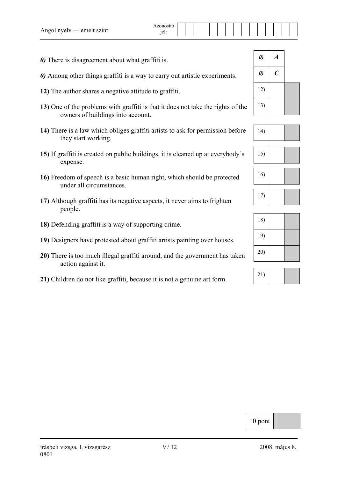10 pont

- *0)* There is disagreement about what graffiti is.
- *0)* Among other things graffiti is a way to carry out artistic experiments.
- **12)** The author shares a negative attitude to graffiti.
- **13)** One of the problems with graffiti is that it does not take the rights of the owners of buildings into account.
- **14)** There is a law which obliges graffiti artists to ask for permission before they start working.
- **15)** If graffiti is created on public buildings, it is cleaned up at everybody's expense.
- **16)** Freedom of speech is a basic human right, which should be protected under all circumstances.
- **17)** Although graffiti has its negative aspects, it never aims to frighten people.
- **18)** Defending graffiti is a way of supporting crime.
- **19)** Designers have protested about graffiti artists painting over houses.
- **20)** There is too much illegal graffiti around, and the government has taken action against it.
- **21)** Children do not like graffiti, because it is not a genuine art form.





| .   |  |
|-----|--|
|     |  |
| 18) |  |
|     |  |
| 19) |  |

 $17)$ 

| 20) |  |
|-----|--|
|     |  |
| 21) |  |

jel: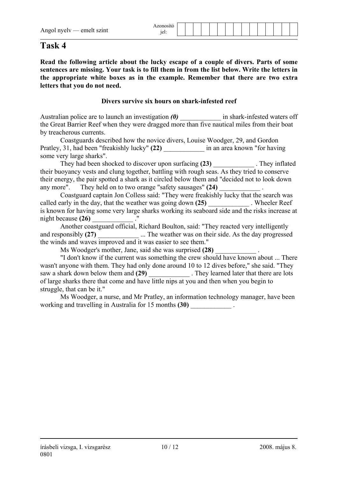| Azonosító     |  |  |  |  |  |  |  |  |
|---------------|--|--|--|--|--|--|--|--|
| $\sim$<br>vı. |  |  |  |  |  |  |  |  |
|               |  |  |  |  |  |  |  |  |

**Read the following article about the lucky escape of a couple of divers. Parts of some sentences are missing. Your task is to fill them in from the list below. Write the letters in the appropriate white boxes as in the example. Remember that there are two extra letters that you do not need.** 

#### **Divers survive six hours on shark-infested reef**

Australian police are to launch an investigation *(0)* in shark-infested waters off the Great Barrier Reef when they were dragged more than five nautical miles from their boat by treacherous currents.

Coastguards described how the novice divers, Louise Woodger, 29, and Gordon Pratley, 31, had been "freakishly lucky" (22) in an area known "for having some very large sharks".

They had been shocked to discover upon surfacing (23) They inflated their buoyancy vests and clung together, battling with rough seas. As they tried to conserve their energy, the pair spotted a shark as it circled below them and "decided not to look down any more". They held on to two orange "safety sausages" **(24)** 

Coastguard captain Jon Colless said: "They were freakishly lucky that the search was called early in the day, that the weather was going down (25) Wheeler Reef is known for having some very large sharks working its seaboard side and the risks increase at night because (26) **.** "

Another coastguard official, Richard Boulton, said: "They reacted very intelligently and responsibly (27) ... The weather was on their side. As the day progressed the winds and waves improved and it was easier to see them."

Ms Woodger's mother, Jane, said she was surprised (28)

"I don't know if the current was something the crew should have known about ... There wasn't anyone with them. They had only done around 10 to 12 dives before," she said. "They saw a shark down below them and (29) \_\_\_\_\_\_\_\_\_\_\_\_\_\_. They learned later that there are lots of large sharks there that come and have little nips at you and then when you begin to struggle, that can be it."

Ms Woodger, a nurse, and Mr Pratley, an information technology manager, have been working and travelling in Australia for 15 months **(30)** .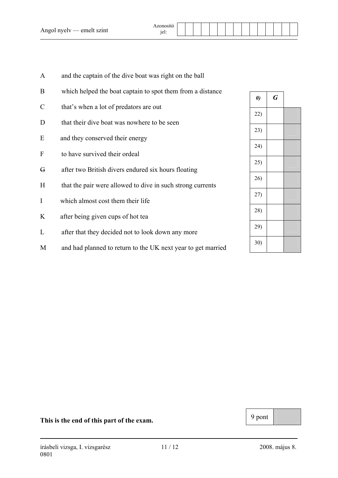

- A and the captain of the dive boat was right on the ball
- B which helped the boat captain to spot them from a distance
- C that's when a lot of predators are out
- D that their dive boat was nowhere to be seen
- E and they conserved their energy
- F to have survived their ordeal
- G after two British divers endured six hours floating
- H that the pair were allowed to dive in such strong currents
- I which almost cost them their life
- K after being given cups of hot tea
- L after that they decided not to look down any more
- M and had planned to return to the UK next year to get married

| $\boldsymbol{\theta}$ | G |  |
|-----------------------|---|--|
| 22)                   |   |  |
| 23)                   |   |  |
| 24)                   |   |  |
| 25)                   |   |  |
| 26)                   |   |  |
| 27)                   |   |  |
| 28)                   |   |  |
| 29)                   |   |  |
| 30)                   |   |  |

**This is the end of this part of the exam.**

9 pont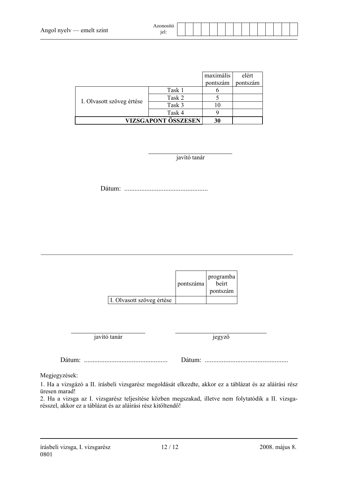|                           |                     | maximális | elért    |
|---------------------------|---------------------|-----------|----------|
|                           |                     | pontszám  | pontszám |
|                           | Task 1              |           |          |
|                           | Task 2              |           |          |
| I. Olvasott szöveg értése | Task 3              |           |          |
|                           | Task 4              |           |          |
|                           | VIZSGAPONT ÖSSZESEN | 30        |          |

javító tanár

Dátum: .................................................

|                           | pontszáma | programba<br>beirt<br>pontszám |
|---------------------------|-----------|--------------------------------|
| I. Olvasott szöveg értése |           |                                |

 $\_$  , and the contribution of the contribution of  $\mathcal{L}_\mathcal{A}$  , and the contribution of  $\mathcal{L}_\mathcal{A}$ 

javító tanár jegyző

Dátum: ................................................. Dátum: .................................................

Megjegyzések:

1. Ha a vizsgázó a II. írásbeli vizsgarész megoldását elkezdte, akkor ez a táblázat és az aláírási rész üresen marad!

2. Ha a vizsga az I. vizsgarész teljesítése közben megszakad, illetve nem folytatódik a II. vizsgarésszel, akkor ez a táblázat és az aláírási rész kitöltendő!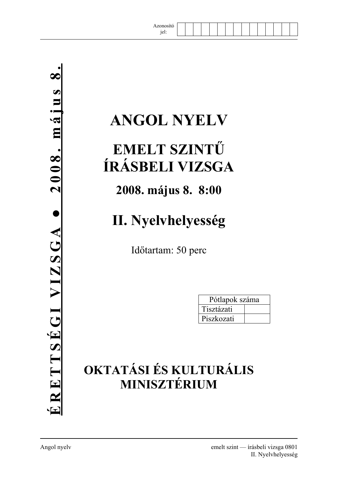| Azonosító<br>$\sim$<br>vı.<br>., |
|----------------------------------|
|----------------------------------|

# **ANGOL NYELV**

# **EMELT SZINTŰ ÍRÁSBELI VIZSGA**

## **2008. május 8. 8:00**

# **II. Nyelvhelyesség**

Időtartam: 50 perc

| Pótlapok száma |  |
|----------------|--|
| Tisztázati     |  |
| Piszkozati     |  |

## **OKTATÁSI ÉS KULTURÁLIS MINISZTÉRIUM**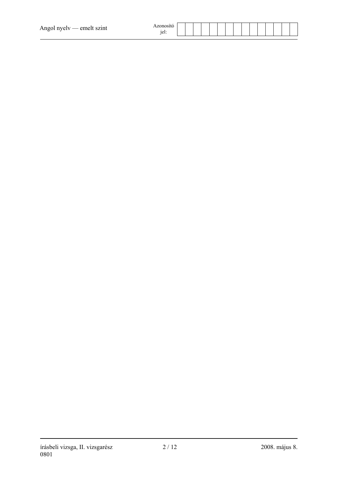| onositc<br>emelt szint<br>Angol nyelv<br><sub>1el</sub> |  |  |  |  |  |  |  |  |  |  |  |  |  |  |  |  |
|---------------------------------------------------------|--|--|--|--|--|--|--|--|--|--|--|--|--|--|--|--|
|---------------------------------------------------------|--|--|--|--|--|--|--|--|--|--|--|--|--|--|--|--|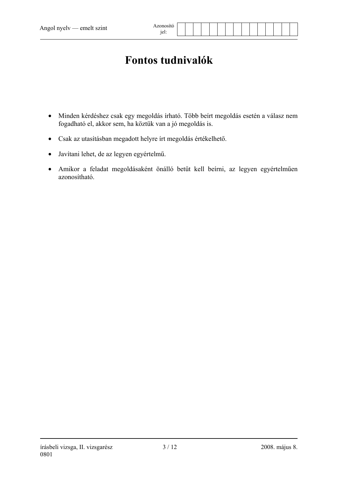## **Fontos tudnivalók**

- Minden kérdéshez csak egy megoldás írható. Több beírt megoldás esetén a válasz nem fogadható el, akkor sem, ha köztük van a jó megoldás is.
- Csak az utasításban megadott helyre írt megoldás értékelhető.
- Javítani lehet, de az legyen egyértelmű.
- Amikor a feladat megoldásaként önálló betűt kell beírni, az legyen egyértelműen azonosítható.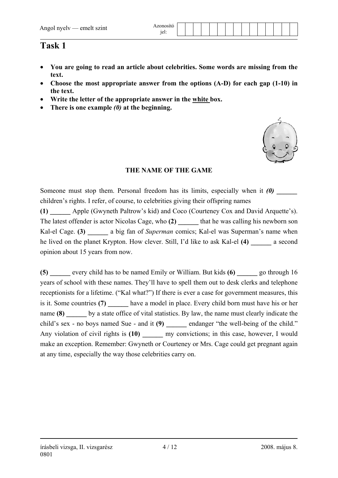| Azonosító      |  |  |  |  |  |  |  |  |
|----------------|--|--|--|--|--|--|--|--|
| $\cdot$<br>vı. |  |  |  |  |  |  |  |  |

- **You are going to read an article about celebrities. Some words are missing from the text.**
- **Choose the most appropriate answer from the options (A-D) for each gap (1-10) in the text.**
- **Write the letter of the appropriate answer in the white box.**
- **There is one example** *(0)* **at the beginning.**



### **THE NAME OF THE GAME**

Someone must stop them. Personal freedom has its limits, especially when it *(0)* children's rights. I refer, of course, to celebrities giving their offspring names

**(1) \_\_\_\_\_\_** Apple (Gwyneth Paltrow's kid) and Coco (Courteney Cox and David Arquette's). The latest offender is actor Nicolas Cage, who **(2)** that he was calling his newborn son Kal-el Cage. **(3)** a big fan of *Superman* comics; Kal-el was Superman's name when he lived on the planet Krypton. How clever. Still, I'd like to ask Kal-el **(4) \_\_\_\_\_\_** a second opinion about 15 years from now.

**(5) \_\_\_\_\_\_** every child has to be named Emily or William. But kids **(6) \_\_\_\_\_\_** go through 16 years of school with these names. They'll have to spell them out to desk clerks and telephone receptionists for a lifetime. ("Kal what?") If there is ever a case for government measures, this is it. Some countries (7) have a model in place. Every child born must have his or her name **(8)** by a state office of vital statistics. By law, the name must clearly indicate the child's sex - no boys named Sue - and it (9) endanger "the well-being of the child." Any violation of civil rights is (10) **a my convictions**; in this case, however, I would make an exception. Remember: Gwyneth or Courteney or Mrs. Cage could get pregnant again at any time, especially the way those celebrities carry on.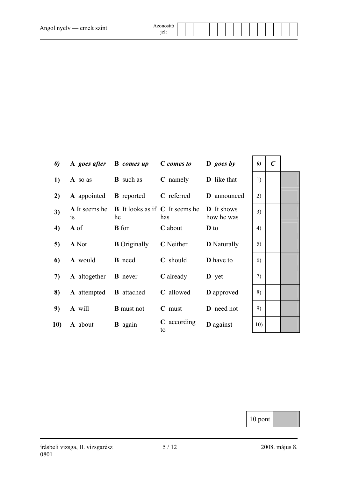| $A$ zonos $44$<br>$\overline{ }$<br>лw<br>. .<br>1 <b>14 V</b><br>. . |  |  |  |  |  |  |  |  |
|-----------------------------------------------------------------------|--|--|--|--|--|--|--|--|
| --                                                                    |  |  |  |  |  |  |  |  |

| $\boldsymbol{\theta}$ |                                      | A goes after B comes up                            | C comes to          | $\bf{D}$ goes by                | $\boldsymbol{\theta}$ | $\boldsymbol{C}$ |
|-----------------------|--------------------------------------|----------------------------------------------------|---------------------|---------------------------------|-----------------------|------------------|
| 1)                    | A so as                              | <b>B</b> such as                                   | <b>C</b> namely     | <b>D</b> like that              | 1)                    |                  |
| 2)                    |                                      | <b>A</b> appointed <b>B</b> reported               | C referred          | <b>D</b> announced              | 2)                    |                  |
| 3)                    | <b>A</b> It seems he<br><b>1S</b>    | <b>B</b> It looks as if <b>C</b> It seems he<br>he | has                 | <b>D</b> It shows<br>how he was | 3)                    |                  |
| 4)                    | A of                                 | <b>B</b> for                                       | C about             | $\mathbf{D}$ to                 | 4)                    |                  |
| 5)                    | <b>A</b> Not                         | <b>B</b> Originally                                | C Neither           | <b>D</b> Naturally              | 5)                    |                  |
| 6                     | A would                              | <b>B</b> need                                      | <b>C</b> should     | <b>D</b> have to                | 6)                    |                  |
| 7)                    | <b>A</b> altogether <b>B</b> never   |                                                    | C already           | $\mathbf{D}$ yet                | 7)                    |                  |
| 8)                    | <b>A</b> attempted <b>B</b> attached |                                                    | <b>C</b> allowed    | <b>D</b> approved               | 8)                    |                  |
| 9)                    | A will                               | <b>B</b> must not                                  | $C$ must            | D need not                      | 9)                    |                  |
| 10)                   | <b>A</b> about                       | <b>B</b> again                                     | $C$ according<br>to | <b>D</b> against                | 10)                   |                  |

| $\boldsymbol{\theta}$        | $\overline{C}$ |  |
|------------------------------|----------------|--|
| 1)                           |                |  |
| 2)                           |                |  |
| 3)                           |                |  |
| $\left( \frac{4}{2} \right)$ |                |  |
| 5)                           |                |  |
| 6)                           |                |  |
| 7)                           |                |  |
| 8)                           |                |  |
| 9)                           |                |  |
| 10)                          |                |  |

10 pont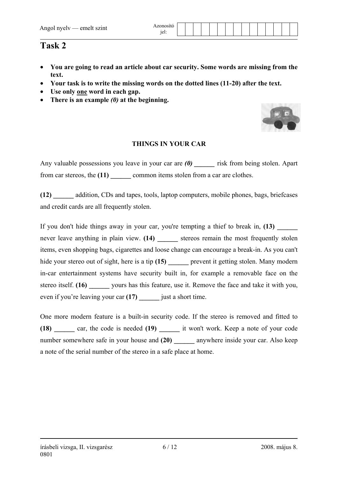| Azonosító |  |  |  |  |  |  |  |  |
|-----------|--|--|--|--|--|--|--|--|
| iel.<br>J |  |  |  |  |  |  |  |  |

- **You are going to read an article about car security. Some words are missing from the text.**
- **Your task is to write the missing words on the dotted lines (11-20) after the text.**
- **Use only one word in each gap.**
- **There is an example** *(0)* **at the beginning.**



### **THINGS IN YOUR CAR**

Any valuable possessions you leave in your car are *(0) \_\_\_\_\_\_* risk from being stolen. Apart from car stereos, the (11) common items stolen from a car are clothes.

**(12) \_\_\_\_\_\_** addition, CDs and tapes, tools, laptop computers, mobile phones, bags, briefcases and credit cards are all frequently stolen.

If you don't hide things away in your car, you're tempting a thief to break in, (13) never leave anything in plain view. (14) \_\_\_\_\_\_\_ stereos remain the most frequently stolen items, even shopping bags, cigarettes and loose change can encourage a break-in. As you can't hide your stereo out of sight, here is a tip  $(15)$  \_\_\_\_\_\_\_ prevent it getting stolen. Many modern in-car entertainment systems have security built in, for example a removable face on the stereo itself. **(16)** vours has this feature, use it. Remove the face and take it with you, even if you're leaving your car (17) just a short time.

One more modern feature is a built-in security code. If the stereo is removed and fitted to **(18) \_\_\_\_\_\_** car, the code is needed **(19) \_\_\_\_\_\_** it won't work. Keep a note of your code number somewhere safe in your house and (20) anywhere inside your car. Also keep a note of the serial number of the stereo in a safe place at home.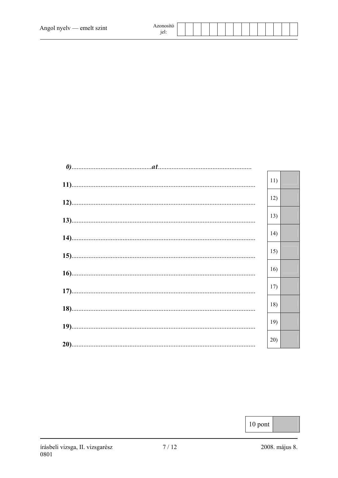| Angol nyelv — emelt szint | Azonosito<br>۱۵۱۰<br>IVI. |  |  |  |  |  |  |  |  |  |  |  |  |  |  |
|---------------------------|---------------------------|--|--|--|--|--|--|--|--|--|--|--|--|--|--|
|---------------------------|---------------------------|--|--|--|--|--|--|--|--|--|--|--|--|--|--|

| 11) |  |
|-----|--|
| 12) |  |
| 13) |  |
| 14) |  |
| 15) |  |
| 16) |  |
| 17) |  |
| 18) |  |
| 19) |  |
| 20) |  |

 $10$  pont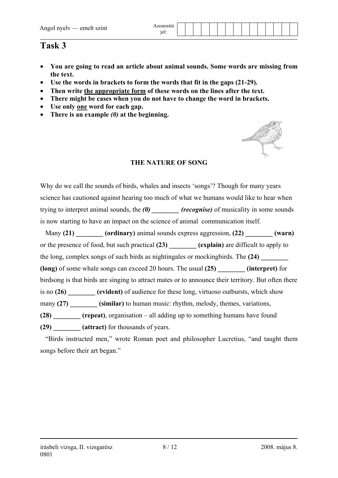| Azonosító               |  |  |  |  |  |  |  |  |
|-------------------------|--|--|--|--|--|--|--|--|
| $\cdot$<br>$1\triangle$ |  |  |  |  |  |  |  |  |
|                         |  |  |  |  |  |  |  |  |
|                         |  |  |  |  |  |  |  |  |

- **You are going to read an article about animal sounds. Some words are missing from the text.**
- **Use the words in brackets to form the words that fit in the gaps (21-29).**
- **Then write the appropriate form of these words on the lines after the text.**
- **There might be cases when you do not have to change the word in brackets.**
- **Use only one word for each gap.**
- **There is an example** *(0)* **at the beginning.**



### **THE NATURE OF SONG**

Why do we call the sounds of birds, whales and insects 'songs'? Though for many years science has cautioned against hearing too much of what we humans would like to hear when trying to interpret animal sounds, the **(0)** *(recognise)* of musicality in some sounds is now starting to have an impact on the science of animal communication itself.

Many **(21) (ordinary)** animal sounds express aggression, **(22)** *(warn)* or the presence of food, but such practical (23) **(explain)** are difficult to apply to the long, complex songs of such birds as nightingales or mockingbirds. The **(24) \_\_\_\_\_\_\_\_ (long)** of some whale songs can exceed 20 hours. The usual **(25) \_\_\_\_\_\_\_\_ (interpret)** for birdsong is that birds are singing to attract mates or to announce their territory. But often there is no **(26) (evident)** of audience for these long, virtuoso outbursts, which show many **(27) (similar)** to human music: rhythm, melody, themes, variations, **(28) \_\_\_\_\_\_\_\_ (repeat)**, organisation – all adding up to something humans have found **(29) \_\_\_\_\_\_\_\_ (attract)** for thousands of years.

 "Birds instructed men," wrote Roman poet and philosopher Lucretius, "and taught them songs before their art began."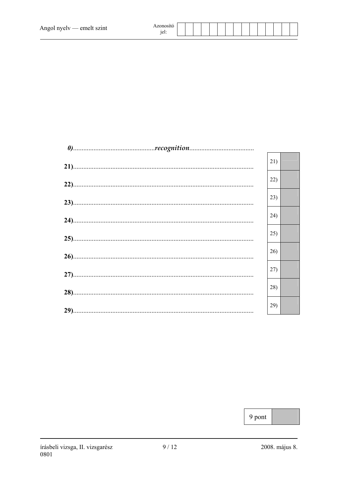| Angol nyelv — emelt szint | vzonositc    |  |  |  |  |  |  |  |
|---------------------------|--------------|--|--|--|--|--|--|--|
|                           | $1\triangle$ |  |  |  |  |  |  |  |

| 21) |  |
|-----|--|
| 22) |  |
| 23) |  |
| 24) |  |
| 25) |  |
| 26) |  |
| 27) |  |
| 28) |  |
| 29) |  |
|     |  |

9 pont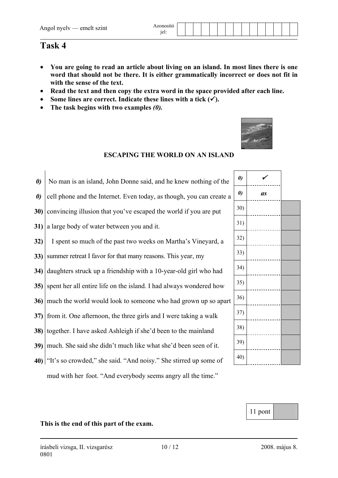| Azonosító                                 |  |  |  |  |  |  |  |  |
|-------------------------------------------|--|--|--|--|--|--|--|--|
| $\cdot$<br>$\mathbf{1} \mathbf{A}$<br>vı. |  |  |  |  |  |  |  |  |
|                                           |  |  |  |  |  |  |  |  |

 $\overline{1}$ 

- **You are going to read an article about living on an island. In most lines there is one word that should not be there. It is either grammatically incorrect or does not fit in with the sense of the text.**
- **Read the text and then copy the extra word in the space provided after each line.**
- Some lines are correct. Indicate these lines with a tick  $(\checkmark)$ .
- **The task begins with two examples** *(0).*



 $\overline{a}$  and  $\overline{a}$ 

### **ESCAPING THE WORLD ON AN ISLAND**

| $\boldsymbol{\theta}$ | No man is an island, John Donne said, and he knew nothing of the                      | $\boldsymbol{\theta}$ |           |
|-----------------------|---------------------------------------------------------------------------------------|-----------------------|-----------|
| $\boldsymbol{\theta}$ | cell phone and the Internet. Even today, as though, you can create a                  | $\boldsymbol{\theta}$ | <b>as</b> |
| 30)                   | convincing illusion that you've escaped the world if you are put                      | 30)                   |           |
| 31)                   | a large body of water between you and it.                                             | 31)                   |           |
| 32)                   | I spent so much of the past two weeks on Martha's Vineyard, a                         | 32)                   |           |
| 33)                   | summer retreat I favor for that many reasons. This year, my                           | 33)                   |           |
| 34)                   | daughters struck up a friendship with a 10-year-old girl who had                      | 34)                   |           |
| 35)                   | spent her all entire life on the island. I had always wondered how                    | 35)                   |           |
| 36)                   | much the world would look to someone who had grown up so apart                        | 36)                   |           |
| 37)                   | from it. One afternoon, the three girls and I were taking a walk                      | 37)                   |           |
| 38)                   | together. I have asked Ashleigh if she'd been to the mainland                         | 38)                   |           |
| 39)                   | much. She said she didn't much like what she'd been seen of it.                       | 39)                   |           |
|                       | 40) $\left  \right $ "It's so crowded," she said. "And noisy." She stirred up some of | 40)                   |           |
|                       | mud with her foot. "And everybody seems angry all the time."                          |                       |           |

| $\boldsymbol{\theta}$ |    |  |
|-----------------------|----|--|
| $\boldsymbol{\theta}$ | as |  |
| 30)                   |    |  |
| 31)                   |    |  |
| 32)                   |    |  |
| 33)                   |    |  |
| 34)                   |    |  |
| 35)                   |    |  |
| 36)                   |    |  |
| 37)                   |    |  |
| 38)                   |    |  |
| 39)                   |    |  |
| 40)                   |    |  |

11 pont

#### **This is the end of this part of the exam.**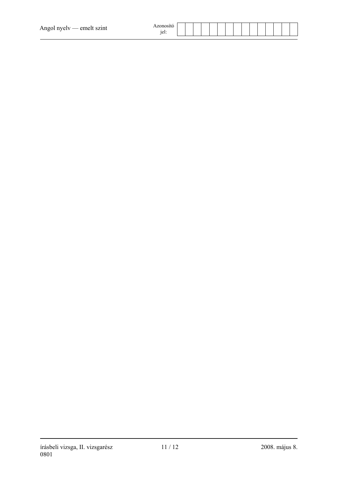| onositc<br>emelt szint<br>Angol nyelv<br><sub>1el</sub> |  |  |  |  |  |  |  |  |  |  |  |  |  |  |  |  |
|---------------------------------------------------------|--|--|--|--|--|--|--|--|--|--|--|--|--|--|--|--|
|---------------------------------------------------------|--|--|--|--|--|--|--|--|--|--|--|--|--|--|--|--|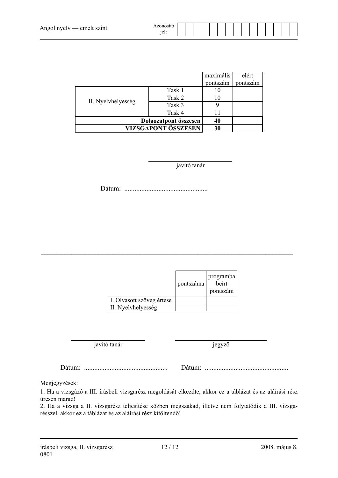| $=$ conceil <sup>1</sup><br><b>TROITOPILO</b> |  |  |  |  |  |  |  |  |
|-----------------------------------------------|--|--|--|--|--|--|--|--|
|                                               |  |  |  |  |  |  |  |  |

|                    |                       | maximális | elért    |
|--------------------|-----------------------|-----------|----------|
|                    |                       | pontszám  | pontszám |
|                    | Task 1                | 10        |          |
|                    | Task 2                | 10        |          |
| II. Nyelvhelyesség | Task 3                |           |          |
|                    | Task 4                |           |          |
|                    | Dolgozatpont összesen | 40        |          |
|                    | VIZSGAPONT ÖSSZESEN   | 30        |          |

javító tanár

Dátum: .................................................

|                           | pontszáma | programba<br>beirt<br>pontszám |
|---------------------------|-----------|--------------------------------|
| I. Olvasott szöveg értése |           |                                |
| II. Nyelvhelyesség        |           |                                |

 $\mathcal{L}_\text{max} = \frac{1}{2} \sum_{i=1}^n \mathcal{L}_\text{max}(\mathbf{z}_i - \mathbf{z}_i)$ 

javító tanár jegyző

Dátum: ................................................. Dátum: .................................................

Megjegyzések:

1. Ha a vizsgázó a III. írásbeli vizsgarész megoldását elkezdte, akkor ez a táblázat és az aláírási rész üresen marad!

2. Ha a vizsga a II. vizsgarész teljesítése közben megszakad, illetve nem folytatódik a III. vizsgarésszel, akkor ez a táblázat és az aláírási rész kitöltendő!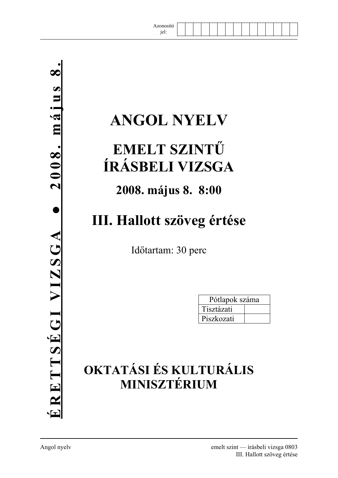| vı. |
|-----|
|-----|

# **ANGOL NYELV**

# **EMELT SZINTŰ ÍRÁSBELI VIZSGA**

## **2008. május 8. 8:00**

# **III. Hallott szöveg értése**

Időtartam: 30 perc

| Pótlapok száma |  |
|----------------|--|
| Tisztázati     |  |
| Piszkozati     |  |

## **OKTATÁSI ÉS KULTURÁLIS MINISZTÉRIUM**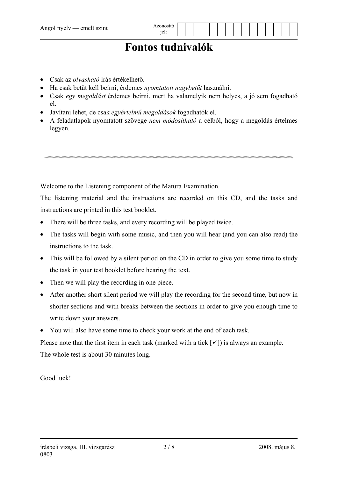

## **Fontos tudnivalók**

- Csak az *olvasható* írás értékelhető.
- Ha csak betűt kell beírni, érdemes *nyomtatott nagybetűt* használni.
- Csak *egy megoldást* érdemes beírni, mert ha valamelyik nem helyes, a jó sem fogadható el.
- Javítani lehet, de csak *egyértelmű megoldások* fogadhatók el.
- A feladatlapok nyomtatott szövege *nem módosítható* a célból, hogy a megoldás értelmes legyen.

Welcome to the Listening component of the Matura Examination.

The listening material and the instructions are recorded on this CD, and the tasks and instructions are printed in this test booklet.

- There will be three tasks, and every recording will be played twice.
- The tasks will begin with some music, and then you will hear (and you can also read) the instructions to the task.
- This will be followed by a silent period on the CD in order to give you some time to study the task in your test booklet before hearing the text.
- Then we will play the recording in one piece.
- After another short silent period we will play the recording for the second time, but now in shorter sections and with breaks between the sections in order to give you enough time to write down your answers.
- You will also have some time to check your work at the end of each task.

Please note that the first item in each task (marked with a tick  $\lceil \checkmark \rceil$ ) is always an example. The whole test is about 30 minutes long.

Good luck!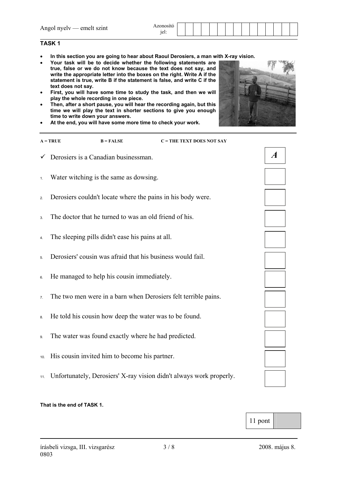

#### **TASK 1**

- **In this section you are going to hear about Raoul Derosiers, a man with X-ray vision.**
- **Your task will be to decide whether the following statements are true, false or we do not know because the text does not say, and write the appropriate letter into the boxes on the right. Write A if the statement is true, write B if the statement is false, and write C if the text does not say.**
- **First, you will have some time to study the task, and then we will play the whole recording in one piece.**
- **Then, after a short pause, you will hear the recording again, but this time we will play the text in shorter sections to give you enough time to write down your answers.**
- **At the end, you will have some more time to check your work.**



#### **That is the end of TASK 1.**

11 pont

írásbeli vizsga, III. vizsgarész 3 / 8 2008. május 8. 0803

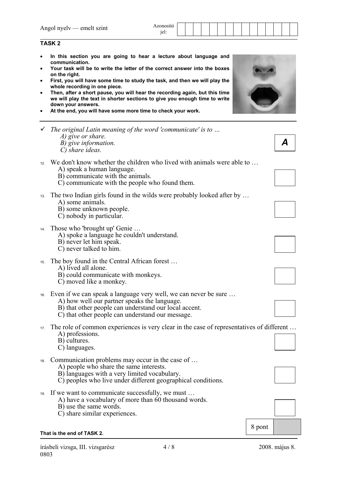

#### **TASK 2**

- **In this section you are going to hear a lecture about language and communication.**
- **Your task will be to write the letter of the correct answer into the boxes on the right.**
- **First, you will have some time to study the task, and then we will play the whole recording in one piece.**
- **Then, after a short pause, you will hear the recording again, but this time we will play the text in shorter sections to give you enough time to write down your answers.**
- **At the end, you will have some more time to check your work.**



#### **That is the end of TASK 2.**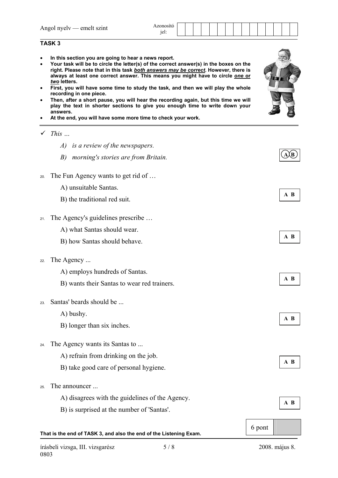#### **TASK 3**

- **In this section you are going to hear a news report.**
- **Your task will be to circle the letter(s) of the correct answer(s) in the boxes on the right. Please note that in this task** *both answers may be correct***. However, there is always at least one correct answer. This means you might have to circle** *one* **or** *two* **letters.**
- **First, you will have some time to study the task, and then we will play the whole recording in one piece.**
- **Then, after a short pause, you will hear the recording again, but this time we will play the text in shorter sections to give you enough time to write down your answers.**
- **At the end, you will have some more time to check your work.**
- $\checkmark$  *This* …
	- *A) is a review of the newspapers.*
	- *B) morning's stories are from Britain.*
- 20. The Fun Agency wants to get rid of …
	- A) unsuitable Santas.
	- B) the traditional red suit.
- 21. The Agency's guidelines prescribe …
	- A) what Santas should wear.
	- B) how Santas should behave.
- 22. The Agency ...
	- A) employs hundreds of Santas.
	- B) wants their Santas to wear red trainers.
- 23. Santas' beards should be ...
	- A) bushy.
		- B) longer than six inches.
- 24. The Agency wants its Santas to ...
	- A) refrain from drinking on the job.
	- B) take good care of personal hygiene.
- 25. The announcer ...
	- A) disagrees with the guidelines of the Agency.
	- B) is surprised at the number of 'Santas'.



- **A B**
- **A B**
- **A B**
- **A B**
- **A B**
- **A B**
- **A B**
- 6 pont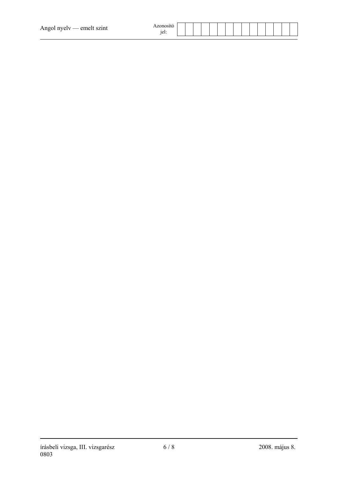| emelt szint<br>Angol nyelv — | zonosito<br>ا د ۱<br>IVI. |  |  |  |  |  |  |  |  |  |  |  |  |  |  |  |
|------------------------------|---------------------------|--|--|--|--|--|--|--|--|--|--|--|--|--|--|--|
|------------------------------|---------------------------|--|--|--|--|--|--|--|--|--|--|--|--|--|--|--|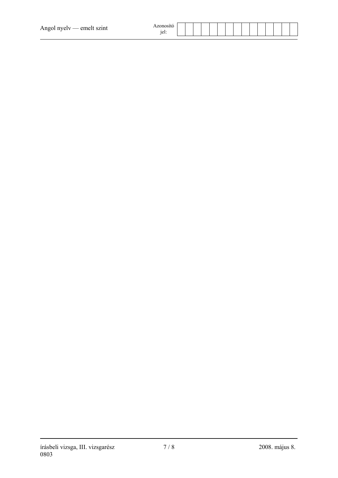| emelt szint<br>Angol nyelv — | zonosito<br>ا د ۱<br>IVI. |  |  |  |  |  |  |  |  |  |  |  |  |  |  |  |
|------------------------------|---------------------------|--|--|--|--|--|--|--|--|--|--|--|--|--|--|--|
|------------------------------|---------------------------|--|--|--|--|--|--|--|--|--|--|--|--|--|--|--|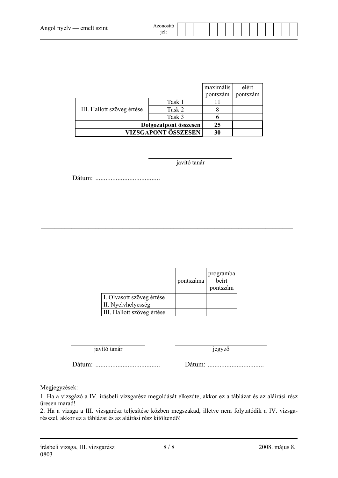

|                            |                            | maximális | elért    |
|----------------------------|----------------------------|-----------|----------|
|                            |                            | pontszám  | pontszám |
|                            | Task 1                     |           |          |
| III. Hallott szöveg értése | Task 2                     |           |          |
|                            | Task 3                     |           |          |
|                            | Dolgozatpont összesen      | 25        |          |
|                            | <b>VIZSGAPONT ÖSSZESEN</b> | 30        |          |

javító tanár

Dátum: ......................................

|                            | pontszáma | programba<br>beirt<br>pontszám |
|----------------------------|-----------|--------------------------------|
| I. Olvasott szöveg értése  |           |                                |
| II. Nyelvhelyesség         |           |                                |
| III. Hallott szöveg értése |           |                                |

 $\mathcal{L}_\text{max} = \frac{1}{2} \sum_{i=1}^n \mathcal{L}_\text{max}(\mathbf{z}_i - \mathbf{z}_i)$ 

javító tanár jegyző

Dátum: ...................................... Dátum: .................................

Megjegyzések:

1. Ha a vizsgázó a IV. írásbeli vizsgarész megoldását elkezdte, akkor ez a táblázat és az aláírási rész üresen marad!

2. Ha a vizsga a III. vizsgarész teljesítése közben megszakad, illetve nem folytatódik a IV. vizsgarésszel, akkor ez a táblázat és az aláírási rész kitöltendő!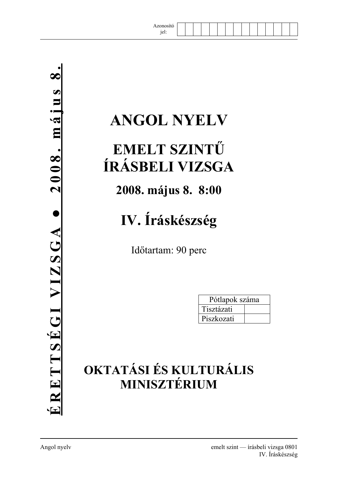| Azonosító<br>$\mathbf{v}$ |
|---------------------------|
|---------------------------|

# **ANGOL NYELV**

# **EMELT SZINTŰ ÍRÁSBELI VIZSGA**

## **2008. május 8. 8:00**

# **IV. Íráskészség**

Időtartam: 90 perc

| Pótlapok száma |  |  |  |  |  |  |  |
|----------------|--|--|--|--|--|--|--|
| Tisztázati     |  |  |  |  |  |  |  |
| Piszkozati     |  |  |  |  |  |  |  |

## **OKTATÁSI ÉS KULTURÁLIS MINISZTÉRIUM**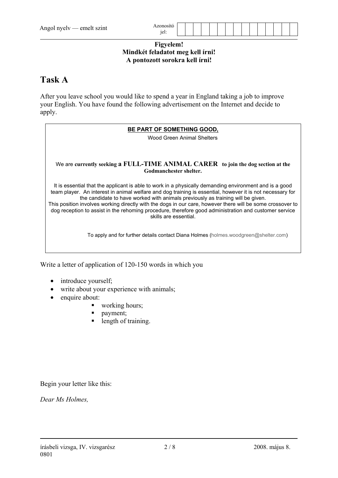

### **Figyelem! Mindkét feladatot meg kell írni! A pontozott sorokra kell írni!**

## **Task A**

After you leave school you would like to spend a year in England taking a job to improve your English. You have found the following advertisement on the Internet and decide to apply.

| <b>BE PART OF SOMETHING GOOD,</b><br>Wood Green Animal Shelters                                                                                                                                                                                                                                                                                                                                                                                                                                                                                        |
|--------------------------------------------------------------------------------------------------------------------------------------------------------------------------------------------------------------------------------------------------------------------------------------------------------------------------------------------------------------------------------------------------------------------------------------------------------------------------------------------------------------------------------------------------------|
| We are currently seeking a FULL-TIME ANIMAL CARER to join the dog section at the<br>Godmanchester shelter.                                                                                                                                                                                                                                                                                                                                                                                                                                             |
| It is essential that the applicant is able to work in a physically demanding environment and is a good<br>team player. An interest in animal welfare and dog training is essential, however it is not necessary for<br>the candidate to have worked with animals previously as training will be given.<br>This position involves working directly with the dogs in our care, however there will be some crossover to<br>dog reception to assist in the rehoming procedure, therefore good administration and customer service<br>skills are essential. |
| To apply and for further details contact Diana Holmes (holmes woodgreen@shelter.com)                                                                                                                                                                                                                                                                                                                                                                                                                                                                   |

Write a letter of application of 120-150 words in which you

- introduce yourself;
- write about your experience with animals;
- enquire about:
	- working hours;
	- **payment**;
	- length of training.

Begin your letter like this:

*Dear Ms Holmes,*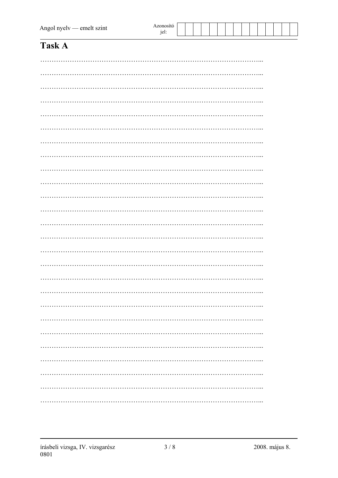| Angol nyelv — emelt szint | Azonosító<br>jel: |  |  |  |  |        |  |  |
|---------------------------|-------------------|--|--|--|--|--------|--|--|
| Task A                    |                   |  |  |  |  |        |  |  |
|                           |                   |  |  |  |  | .      |  |  |
|                           |                   |  |  |  |  | .      |  |  |
|                           |                   |  |  |  |  | .      |  |  |
|                           |                   |  |  |  |  | .      |  |  |
|                           |                   |  |  |  |  | .      |  |  |
|                           |                   |  |  |  |  | .      |  |  |
|                           |                   |  |  |  |  | .      |  |  |
|                           |                   |  |  |  |  | .      |  |  |
|                           |                   |  |  |  |  | .      |  |  |
|                           |                   |  |  |  |  | .      |  |  |
|                           |                   |  |  |  |  | .      |  |  |
|                           |                   |  |  |  |  | .      |  |  |
|                           |                   |  |  |  |  | .<br>. |  |  |
|                           |                   |  |  |  |  | .      |  |  |
|                           |                   |  |  |  |  | .      |  |  |
|                           |                   |  |  |  |  |        |  |  |
|                           |                   |  |  |  |  |        |  |  |
|                           |                   |  |  |  |  |        |  |  |
|                           |                   |  |  |  |  |        |  |  |
|                           |                   |  |  |  |  |        |  |  |
|                           |                   |  |  |  |  |        |  |  |
|                           |                   |  |  |  |  |        |  |  |
|                           |                   |  |  |  |  |        |  |  |
|                           |                   |  |  |  |  |        |  |  |
|                           |                   |  |  |  |  |        |  |  |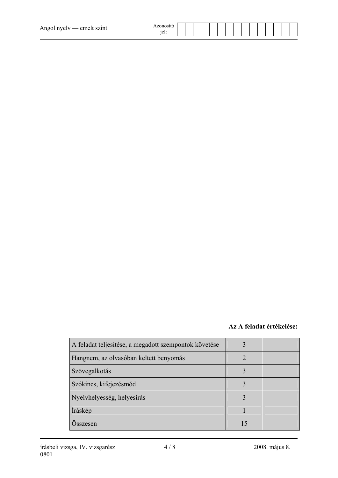| emelt szint<br>Angol<br>nyelv<br>$\overline{\phantom{a}}$ | <b>Prosito</b><br><sub>1el</sub> |  |  |  |  |  |  |  |  |  |  |  |  |  |  |  |
|-----------------------------------------------------------|----------------------------------|--|--|--|--|--|--|--|--|--|--|--|--|--|--|--|
|-----------------------------------------------------------|----------------------------------|--|--|--|--|--|--|--|--|--|--|--|--|--|--|--|

#### **Az A feladat értékelése:**

| A feladat teljesítése, a megadott szempontok követése |  |
|-------------------------------------------------------|--|
| Hangnem, az olvasóban keltett benyomás                |  |
| Szövegalkotás                                         |  |
| Szókincs, kifejezésmód                                |  |
| Nyelvhelyesség, helyesírás                            |  |
| Íráskép                                               |  |
| sszesen                                               |  |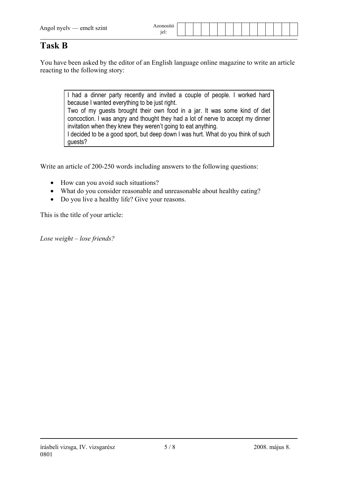| emelt szint<br>Ango<br>nvely<br>$\overline{\phantom{a}}$<br>--<br>the contract of the contract of the | $\triangle$ 70008110<br><sub>1el</sub><br>. . |  |  |  |  |  |  |  |  |  |  |  |  |  |  |  |
|-------------------------------------------------------------------------------------------------------|-----------------------------------------------|--|--|--|--|--|--|--|--|--|--|--|--|--|--|--|
|-------------------------------------------------------------------------------------------------------|-----------------------------------------------|--|--|--|--|--|--|--|--|--|--|--|--|--|--|--|

## **Task B**

You have been asked by the editor of an English language online magazine to write an article reacting to the following story:

> I had a dinner party recently and invited a couple of people. I worked hard because I wanted everything to be just right. Two of my guests brought their own food in a jar. It was some kind of diet concoction. I was angry and thought they had a lot of nerve to accept my dinner invitation when they knew they weren't going to eat anything. I decided to be a good sport, but deep down I was hurt. What do you think of such quests?

Write an article of 200-250 words including answers to the following questions:

- How can you avoid such situations?
- What do you consider reasonable and unreasonable about healthy eating?
- Do you live a healthy life? Give your reasons.

This is the title of your article:

*Lose weight – lose friends?*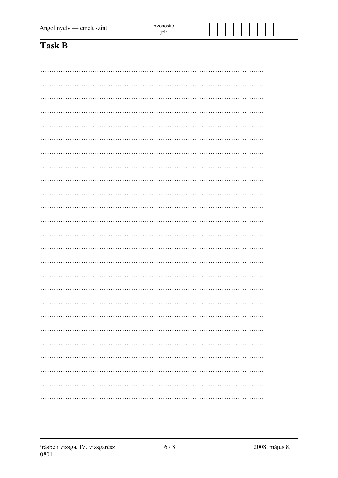| Azonosító |  |  |  |  |  |  |  |  |
|-----------|--|--|--|--|--|--|--|--|
|           |  |  |  |  |  |  |  |  |

## Task B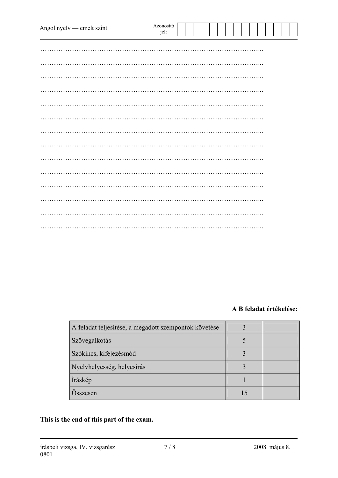| Angol nyelv — emelt szint | Azonosító<br>jel: |  |  |  |  |  |  |
|---------------------------|-------------------|--|--|--|--|--|--|
|                           |                   |  |  |  |  |  |  |
|                           |                   |  |  |  |  |  |  |
|                           |                   |  |  |  |  |  |  |
|                           |                   |  |  |  |  |  |  |
|                           |                   |  |  |  |  |  |  |
|                           |                   |  |  |  |  |  |  |
|                           |                   |  |  |  |  |  |  |
|                           |                   |  |  |  |  |  |  |
|                           |                   |  |  |  |  |  |  |
|                           |                   |  |  |  |  |  |  |
|                           |                   |  |  |  |  |  |  |
|                           |                   |  |  |  |  |  |  |
|                           |                   |  |  |  |  |  |  |
|                           |                   |  |  |  |  |  |  |

### **A B feladat értékelése:**

| A feladat teljesítése, a megadott szempontok követése |  |
|-------------------------------------------------------|--|
| Szövegalkotás                                         |  |
| Szókincs, kifejezésmód                                |  |
| Nyelvhelyesség, helyesírás                            |  |
| Íráskép                                               |  |
| Összesen                                              |  |

### **This is the end of this part of the exam.**